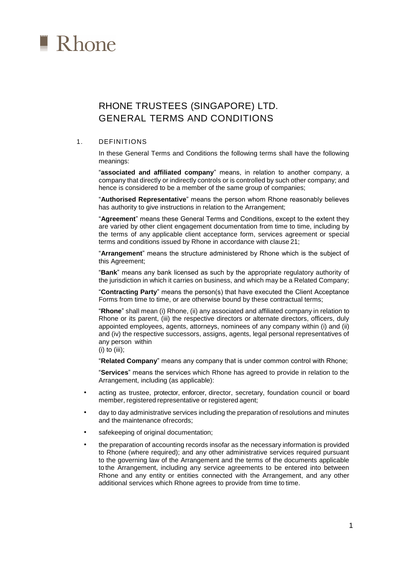

# RHONE TRUSTEES (SINGAPORE) LTD. GENERAL TERMS AND CONDITIONS

## 1. DEFINITIONS

In these General Terms and Conditions the following terms shall have the following meanings:

"**associated and affiliated company**" means, in relation to another company, a company that directly or indirectly controls or is controlled by such other company; and hence is considered to be a member of the same group of companies;

"**Authorised Representative**" means the person whom Rhone reasonably believes has authority to give instructions in relation to the Arrangement;

"**Agreement**" means these General Terms and Conditions, except to the extent they are varied by other client engagement documentation from time to time, including by the terms of any applicable client acceptance form, services agreement or special terms and conditions issued by Rhone in accordance with clause 21;

"**Arrangement**" means the structure administered by Rhone which is the subject of this Agreement;

"**Bank**" means any bank licensed as such by the appropriate regulatory authority of the jurisdiction in which it carries on business, and which may be a Related Company;

"**Contracting Party**" means the person(s) that have executed the Client Acceptance Forms from time to time, or are otherwise bound by these contractual terms;

"**Rhone**" shall mean (i) Rhone, (ii) any associated and affiliated company in relation to Rhone or its parent, (iii) the respective directors or alternate directors, officers, duly appointed employees, agents, attorneys, nominees of any company within (i) and (ii) and (iv) the respective successors, assigns, agents, legal personal representatives of any person within

(i) to (iii);

"**Related Company**" means any company that is under common control with Rhone;

"**Services**" means the services which Rhone has agreed to provide in relation to the Arrangement, including (as applicable):

- acting as trustee, protector, enforcer, director, secretary, foundation council or board member, registered representative or registered agent;
- day to day administrative services including the preparation of resolutions and minutes and the maintenance of records;
- safekeeping of original documentation;
- the preparation of accounting records insofar as the necessary information is provided to Rhone (where required); and any other administrative services required pursuant to the governing law of the Arrangement and the terms of the documents applicable to the Arrangement, including any service agreements to be entered into between Rhone and any entity or entities connected with the Arrangement, and any other additional services which Rhone agrees to provide from time to time.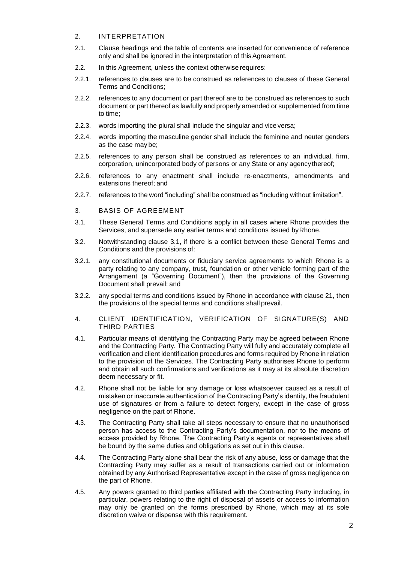## 2. INTERPRETATION

- 2.1. Clause headings and the table of contents are inserted for convenience of reference only and shall be ignored in the interpretation of this Agreement.
- 2.2. In this Agreement, unless the context otherwise requires:
- 2.2.1. references to clauses are to be construed as references to clauses of these General Terms and Conditions;
- 2.2.2. references to any document or part thereof are to be construed as references to such document or part thereof as lawfully and properly amended or supplemented from time to time;
- 2.2.3. words importing the plural shall include the singular and vice versa;
- 2.2.4. words importing the masculine gender shall include the feminine and neuter genders as the case may be;
- 2.2.5. references to any person shall be construed as references to an individual, firm, corporation, unincorporated body of persons or any State or any agency thereof;
- 2.2.6. references to any enactment shall include re-enactments, amendments and extensions thereof; and
- 2.2.7. references to the word "including" shall be construed as "including without limitation".
- 3. BASIS OF AGREEMENT
- 3.1. These General Terms and Conditions apply in all cases where Rhone provides the Services, and supersede any earlier terms and conditions issued by Rhone.
- 3.2. Notwithstanding clause 3.1, if there is a conflict between these General Terms and Conditions and the provisions of:
- 3.2.1. any constitutional documents or fiduciary service agreements to which Rhone is a party relating to any company, trust, foundation or other vehicle forming part of the Arrangement (a "Governing Document"), then the provisions of the Governing Document shall prevail; and
- 3.2.2. any special terms and conditions issued by Rhone in accordance with clause 21, then the provisions of the special terms and conditions shall prevail.
- 4. CLIENT IDENTIFICATION, VERIFICATION OF SIGNATURE(S) AND THIRD PARTIES
- 4.1. Particular means of identifying the Contracting Party may be agreed between Rhone and the Contracting Party. The Contracting Party will fully and accurately complete all verification and client identification procedures and forms required by Rhone in relation to the provision of the Services. The Contracting Party authorises Rhone to perform and obtain all such confirmations and verifications as it may at its absolute discretion deem necessary or fit.
- 4.2. Rhone shall not be liable for any damage or loss whatsoever caused as a result of mistaken or inaccurate authentication of the Contracting Party's identity, the fraudulent use of signatures or from a failure to detect forgery, except in the case of gross negligence on the part of Rhone.
- 4.3. The Contracting Party shall take all steps necessary to ensure that no unauthorised person has access to the Contracting Party's documentation, nor to the means of access provided by Rhone. The Contracting Party's agents or representatives shall be bound by the same duties and obligations as set out in this clause.
- 4.4. The Contracting Party alone shall bear the risk of any abuse, loss or damage that the Contracting Party may suffer as a result of transactions carried out or information obtained by any Authorised Representative except in the case of gross negligence on the part of Rhone.
- 4.5. Any powers granted to third parties affiliated with the Contracting Party including, in particular, powers relating to the right of disposal of assets or access to information may only be granted on the forms prescribed by Rhone, which may at its sole discretion waive or dispense with this requirement.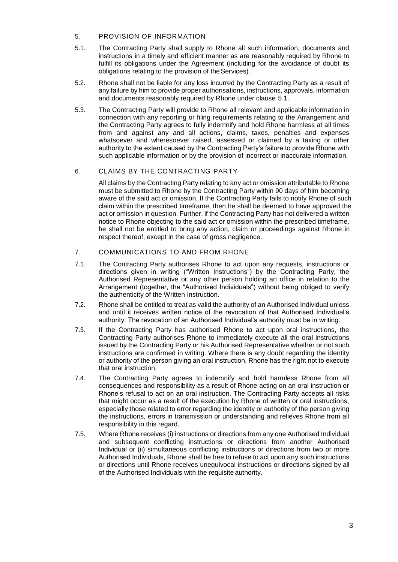## 5. PROVISION OF INFORMATION

- 5.1. The Contracting Party shall supply to Rhone all such information, documents and instructions in a timely and efficient manner as are reasonably required by Rhone to fulfill its obligations under the Agreement (including for the avoidance of doubt its obligations relating to the provision of the Services).
- 5.2. Rhone shall not be liable for any loss incurred by the Contracting Party as a result of any failure by him to provide proper authorisations, instructions, approvals, information and documents reasonably required by Rhone under clause 5.1.
- 5.3. The Contracting Party will provide to Rhone all relevant and applicable information in connection with any reporting or filing requirements relating to the Arrangement and the Contracting Party agrees to fully indemnify and hold Rhone harmless at all times from and against any and all actions, claims, taxes, penalties and expenses whatsoever and wheresoever raised, assessed or claimed by a taxing or other authority to the extent caused by the Contracting Party's failure to provide Rhone with such applicable information or by the provision of incorrect or inaccurate information.

# 6. CLAIMS BY THE CONTRACTING PARTY

All claims by the Contracting Party relating to any act or omission attributable to Rhone must be submitted to Rhone by the Contracting Party within 90 days of him becoming aware of the said act or omission. If the Contracting Party fails to notify Rhone of such claim within the prescribed timeframe, then he shall be deemed to have approved the act or omission in question. Further, if the Contracting Party has not delivered a written notice to Rhone objecting to the said act or omission within the prescribed timeframe, he shall not be entitled to bring any action, claim or proceedings against Rhone in respect thereof, except in the case of gross negligence.

# 7. COMMUNICATIONS TO AND FROM RHONE

- 7.1. The Contracting Party authorises Rhone to act upon any requests, instructions or directions given in writing ("Written Instructions") by the Contracting Party, the Authorised Representative or any other person holding an office in relation to the Arrangement (together, the "Authorised Individuals") without being obliged to verify the authenticity of the Written Instruction.
- 7.2. Rhone shall be entitled to treat as valid the authority of an Authorised Individual unless and until it receives written notice of the revocation of that Authorised Individual's authority. The revocation of an Authorised Individual's authority must be in writing.
- 7.3. If the Contracting Party has authorised Rhone to act upon oral instructions, the Contracting Party authorises Rhone to immediately execute all the oral instructions issued by the Contracting Party or his Authorised Representative whether or not such instructions are confirmed in writing. Where there is any doubt regarding the identity or authority of the person giving an oral instruction, Rhone has the right not to execute that oral instruction.
- 7.4. The Contracting Party agrees to indemnify and hold harmless Rhone from all consequences and responsibility as a result of Rhone acting on an oral instruction or Rhone's refusal to act on an oral instruction. The Contracting Party accepts all risks that might occur as a result of the execution by Rhone of written or oral instructions, especially those related to error regarding the identity or authority of the person giving the instructions, errors in transmission or understanding and relieves Rhone from all responsibility in this regard.
- 7.5. Where Rhone receives (i) instructions or directions from any one Authorised Individual and subsequent conflicting instructions or directions from another Authorised Individual or (ii) simultaneous conflicting instructions or directions from two or more Authorised Individuals, Rhone shall be free to refuse to act upon any such instructions or directions until Rhone receives unequivocal instructions or directions signed by all of the Authorised Individuals with the requisite authority.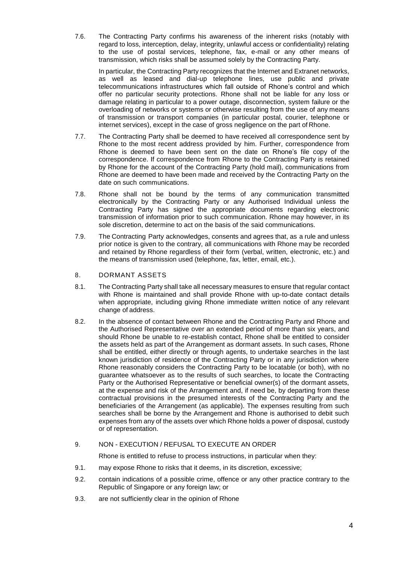7.6. The Contracting Party confirms his awareness of the inherent risks (notably with regard to loss, interception, delay, integrity, unlawful access or confidentiality) relating to the use of postal services, telephone, fax, e-mail or any other means of transmission, which risks shall be assumed solely by the Contracting Party.

In particular, the Contracting Party recognizes that the Internet and Extranet networks, as well as leased and dial-up telephone lines, use public and private telecommunications infrastructures which fall outside of Rhone's control and which offer no particular security protections. Rhone shall not be liable for any loss or damage relating in particular to a power outage, disconnection, system failure or the overloading of networks or systems or otherwise resulting from the use of any means of transmission or transport companies (in particular postal, courier, telephone or internet services), except in the case of gross negligence on the part of Rhone.

- 7.7. The Contracting Party shall be deemed to have received all correspondence sent by Rhone to the most recent address provided by him. Further, correspondence from Rhone is deemed to have been sent on the date on Rhone's file copy of the correspondence. If correspondence from Rhone to the Contracting Party is retained by Rhone for the account of the Contracting Party (hold mail), communications from Rhone are deemed to have been made and received by the Contracting Party on the date on such communications.
- 7.8. Rhone shall not be bound by the terms of any communication transmitted electronically by the Contracting Party or any Authorised Individual unless the Contracting Party has signed the appropriate documents regarding electronic transmission of information prior to such communication. Rhone may however, in its sole discretion, determine to act on the basis of the said communications.
- 7.9. The Contracting Party acknowledges, consents and agrees that, as a rule and unless prior notice is given to the contrary, all communications with Rhone may be recorded and retained by Rhone regardless of their form (verbal, written, electronic, etc.) and the means of transmission used (telephone, fax, letter, email, etc.).
- 8. DORMANT ASSETS
- 8.1. The Contracting Party shall take all necessary measures to ensure that regular contact with Rhone is maintained and shall provide Rhone with up-to-date contact details when appropriate, including giving Rhone immediate written notice of any relevant change of address.
- 8.2. In the absence of contact between Rhone and the Contracting Party and Rhone and the Authorised Representative over an extended period of more than six years, and should Rhone be unable to re-establish contact, Rhone shall be entitled to consider the assets held as part of the Arrangement as dormant assets. In such cases, Rhone shall be entitled, either directly or through agents, to undertake searches in the last known jurisdiction of residence of the Contracting Party or in any jurisdiction where Rhone reasonably considers the Contracting Party to be locatable (or both), with no guarantee whatsoever as to the results of such searches, to locate the Contracting Party or the Authorised Representative or beneficial owner(s) of the dormant assets, at the expense and risk of the Arrangement and, if need be, by departing from these contractual provisions in the presumed interests of the Contracting Party and the beneficiaries of the Arrangement (as applicable). The expenses resulting from such searches shall be borne by the Arrangement and Rhone is authorised to debit such expenses from any of the assets over which Rhone holds a power of disposal, custody or of representation.

# 9. NON - EXECUTION / REFUSAL TO EXECUTE AN ORDER

Rhone is entitled to refuse to process instructions, in particular when they:

- 9.1. may expose Rhone to risks that it deems, in its discretion, excessive;
- 9.2. contain indications of a possible crime, offence or any other practice contrary to the Republic of Singapore or any foreign law; or
- 9.3. are not sufficiently clear in the opinion of Rhone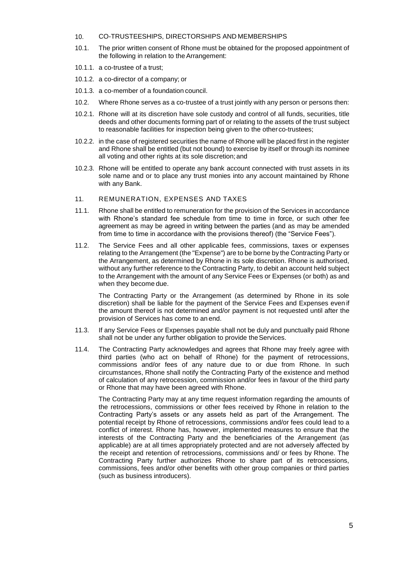#### 10. CO-TRUSTEESHIPS, DIRECTORSHIPS AND MEMBERSHIPS

- 10.1. The prior written consent of Rhone must be obtained for the proposed appointment of the following in relation to the Arrangement:
- 10.1.1. a co-trustee of a trust;
- 10.1.2. a co-director of a company; or
- 10.1.3. a co-member of a foundation council.
- 10.2. Where Rhone serves as a co-trustee of a trust jointly with any person or persons then:
- 10.2.1. Rhone will at its discretion have sole custody and control of all funds, securities, title deeds and other documents forming part of or relating to the assets of the trust subject to reasonable facilities for inspection being given to the otherco-trustees;
- 10.2.2. in the case of registered securities the name of Rhone will be placed first in the register and Rhone shall be entitled (but not bound) to exercise by itself or through its nominee all voting and other rights at its sole discretion;and
- 10.2.3. Rhone will be entitled to operate any bank account connected with trust assets in its sole name and or to place any trust monies into any account maintained by Rhone with any Bank.
- 11. REMUNERATION, EXPENSES AND TAXES
- 11.1. Rhone shall be entitled to remuneration for the provision of the Services in accordance with Rhone's standard fee schedule from time to time in force, or such other fee agreement as may be agreed in writing between the parties (and as may be amended from time to time in accordance with the provisions thereof) (the "Service Fees").
- 11.2. The Service Fees and all other applicable fees, commissions, taxes or expenses relating to the Arrangement (the "Expense") are to be borne by the Contracting Party or the Arrangement, as determined by Rhone in its sole discretion. Rhone is authorised, without any further reference to the Contracting Party, to debit an account held subject to the Arrangement with the amount of any Service Fees or Expenses (or both) as and when they become due.

The Contracting Party or the Arrangement (as determined by Rhone in its sole discretion) shall be liable for the payment of the Service Fees and Expenses even if the amount thereof is not determined and/or payment is not requested until after the provision of Services has come to an end.

- 11.3. If any Service Fees or Expenses payable shall not be duly and punctually paid Rhone shall not be under any further obligation to provide the Services.
- 11.4. The Contracting Party acknowledges and agrees that Rhone may freely agree with third parties (who act on behalf of Rhone) for the payment of retrocessions, commissions and/or fees of any nature due to or due from Rhone. In such circumstances, Rhone shall notify the Contracting Party of the existence and method of calculation of any retrocession, commission and/or fees in favour of the third party or Rhone that may have been agreed with Rhone.

The Contracting Party may at any time request information regarding the amounts of the retrocessions, commissions or other fees received by Rhone in relation to the Contracting Party's assets or any assets held as part of the Arrangement. The potential receipt by Rhone of retrocessions, commissions and/or fees could lead to a conflict of interest. Rhone has, however, implemented measures to ensure that the interests of the Contracting Party and the beneficiaries of the Arrangement (as applicable) are at all times appropriately protected and are not adversely affected by the receipt and retention of retrocessions, commissions and/ or fees by Rhone. The Contracting Party further authorizes Rhone to share part of its retrocessions, commissions, fees and/or other benefits with other group companies or third parties (such as business introducers).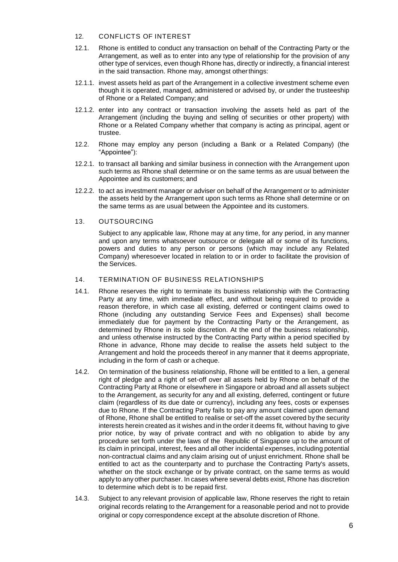## 12. CONFLICTS OF INTEREST

- 12.1. Rhone is entitled to conduct any transaction on behalf of the Contracting Party or the Arrangement, as well as to enter into any type of relationship for the provision of any other type of services, even though Rhone has, directly or indirectly, a financial interest in the said transaction. Rhone may, amongst otherthings:
- 12.1.1. invest assets held as part of the Arrangement in a collective investment scheme even though it is operated, managed, administered or advised by, or under the trusteeship of Rhone or a Related Company; and
- 12.1.2. enter into any contract or transaction involving the assets held as part of the Arrangement (including the buying and selling of securities or other property) with Rhone or a Related Company whether that company is acting as principal, agent or trustee.
- 12.2. Rhone may employ any person (including a Bank or a Related Company) (the "Appointee"):
- 12.2.1. to transact all banking and similar business in connection with the Arrangement upon such terms as Rhone shall determine or on the same terms as are usual between the Appointee and its customers; and
- 12.2.2. to act as investment manager or adviser on behalf of the Arrangement or to administer the assets held by the Arrangement upon such terms as Rhone shall determine or on the same terms as are usual between the Appointee and its customers.

## 13. OUTSOURCING

Subject to any applicable law, Rhone may at any time, for any period, in any manner and upon any terms whatsoever outsource or delegate all or some of its functions, powers and duties to any person or persons (which may include any Related Company) wheresoever located in relation to or in order to facilitate the provision of the Services.

## 14. TERMINATION OF BUSINESS RELATIONSHIPS

- 14.1. Rhone reserves the right to terminate its business relationship with the Contracting Party at any time, with immediate effect, and without being required to provide a reason therefore, in which case all existing, deferred or contingent claims owed to Rhone (including any outstanding Service Fees and Expenses) shall become immediately due for payment by the Contracting Party or the Arrangement, as determined by Rhone in its sole discretion. At the end of the business relationship, and unless otherwise instructed by the Contracting Party within a period specified by Rhone in advance, Rhone may decide to realise the assets held subject to the Arrangement and hold the proceeds thereof in any manner that it deems appropriate, including in the form of cash or a cheque.
- 14.2. On termination of the business relationship, Rhone will be entitled to a lien, a general right of pledge and a right of set-off over all assets held by Rhone on behalf of the Contracting Party at Rhone or elsewhere in Singapore or abroad and all assets subject to the Arrangement, as security for any and all existing, deferred, contingent or future claim (regardless of its due date or currency), including any fees, costs or expenses due to Rhone. If the Contracting Party fails to pay any amount claimed upon demand of Rhone, Rhone shall be entitled to realise or set-off the asset covered by the security interests herein created as it wishes and in the order it deems fit, without having to give prior notice, by way of private contract and with no obligation to abide by any procedure set forth under the laws of the Republic of Singapore up to the amount of its claim in principal, interest, fees and all other incidental expenses, including potential non-contractual claims and any claim arising out of unjust enrichment. Rhone shall be entitled to act as the counterparty and to purchase the Contracting Party's assets, whether on the stock exchange or by private contract, on the same terms as would apply to any other purchaser. In cases where several debts exist, Rhone has discretion to determine which debt is to be repaid first.
- 14.3. Subject to any relevant provision of applicable law, Rhone reserves the right to retain original records relating to the Arrangement for a reasonable period and not to provide original or copy correspondence except at the absolute discretion of Rhone.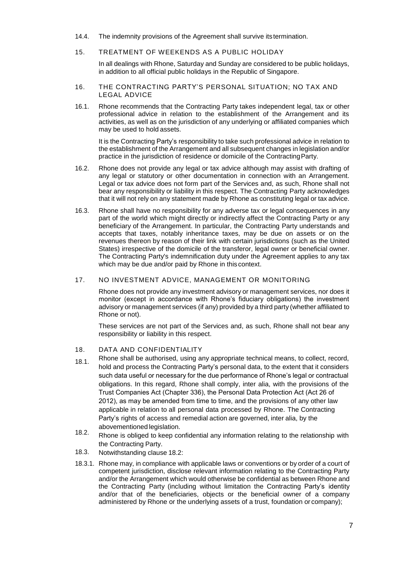- 14.4. The indemnity provisions of the Agreement shall survive its termination.
- 15. TREATMENT OF WEEKENDS AS A PUBLIC HOLIDAY

In all dealings with Rhone, Saturday and Sunday are considered to be public holidays, in addition to all official public holidays in the Republic of Singapore.

- 16. THE CONTRACTING PARTY'S PERSONAL SITUATION; NO TAX AND LEGAL ADVICE
- 16.1. Rhone recommends that the Contracting Party takes independent legal, tax or other professional advice in relation to the establishment of the Arrangement and its activities, as well as on the jurisdiction of any underlying or affiliated companies which may be used to hold assets.

It is the Contracting Party's responsibility to take such professional advice in relation to the establishment of the Arrangement and all subsequent changes in legislation and/or practice in the jurisdiction of residence or domicile of the Contracting Party.

- 16.2. Rhone does not provide any legal or tax advice although may assist with drafting of any legal or statutory or other documentation in connection with an Arrangement. Legal or tax advice does not form part of the Services and, as such, Rhone shall not bear any responsibility or liability in this respect. The Contracting Party acknowledges that it will not rely on any statement made by Rhone as constituting legal or tax advice.
- 16.3. Rhone shall have no responsibility for any adverse tax or legal consequences in any part of the world which might directly or indirectly affect the Contracting Party or any beneficiary of the Arrangement. In particular, the Contracting Party understands and accepts that taxes, notably inheritance taxes, may be due on assets or on the revenues thereon by reason of their link with certain jurisdictions (such as the United States) irrespective of the domicile of the transferor, legal owner or beneficial owner. The Contracting Party's indemnification duty under the Agreement applies to any tax which may be due and/or paid by Rhone in this context.

## 17. NO INVESTMENT ADVICE, MANAGEMENT OR MONITORING

Rhone does not provide any investment advisory or management services, nor does it monitor (except in accordance with Rhone's fiduciary obligations) the investment advisory or management services (if any) provided by a third party (whether affiliated to Rhone or not).

These services are not part of the Services and, as such, Rhone shall not bear any responsibility or liability in this respect.

- 18. DATA AND CONFIDENTIALITY
- 18.1. Rhone shall be authorised, using any appropriate technical means, to collect, record, hold and process the Contracting Party's personal data, to the extent that it considers such data useful or necessary for the due performance of Rhone's legal or contractual obligations. In this regard, Rhone shall comply, inter alia, with the provisions of the Trust Companies Act (Chapter 336), the Personal Data Protection Act (Act 26 of 2012), as may be amended from time to time, and the provisions of any other law applicable in relation to all personal data processed by Rhone. The Contracting Party's rights of access and remedial action are governed, inter alia, by the abovementioned legislation.
- 18.2. Rhone is obliged to keep confidential any information relating to the relationship with the Contracting Party.
- 18.3. Notwithstanding clause 18.2:
- 18.3.1. Rhone may, in compliance with applicable laws or conventions or by order of a court of competent jurisdiction, disclose relevant information relating to the Contracting Party and/or the Arrangement which would otherwise be confidential as between Rhone and the Contracting Party (including without limitation the Contracting Party's identity and/or that of the beneficiaries, objects or the beneficial owner of a company administered by Rhone or the underlying assets of a trust, foundation or company);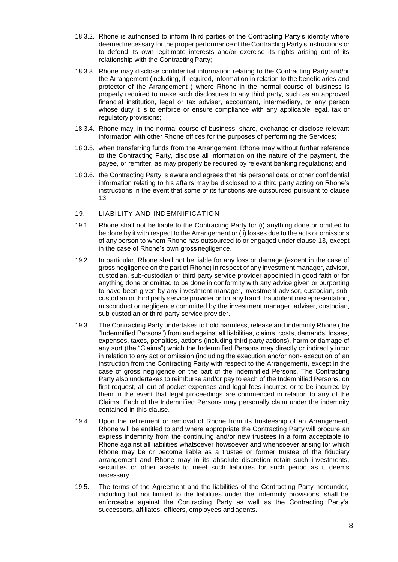- 18.3.2. Rhone is authorised to inform third parties of the Contracting Party's identity where deemed necessary for the proper performance of the Contracting Party's instructions or to defend its own legitimate interests and/or exercise its rights arising out of its relationship with the Contracting Party;
- 18.3.3. Rhone may disclose confidential information relating to the Contracting Party and/or the Arrangement (including, if required, information in relation to the beneficiaries and protector of the Arrangement ) where Rhone in the normal course of business is properly required to make such disclosures to any third party, such as an approved financial institution, legal or tax adviser, accountant, intermediary, or any person whose duty it is to enforce or ensure compliance with any applicable legal, tax or regulatory provisions;
- 18.3.4. Rhone may, in the normal course of business, share, exchange or disclose relevant information with other Rhone offices for the purposes of performing the Services;
- 18.3.5. when transferring funds from the Arrangement, Rhone may without further reference to the Contracting Party, disclose all information on the nature of the payment, the payee, or remitter, as may properly be required by relevant banking regulations; and
- 18.3.6. the Contracting Party is aware and agrees that his personal data or other confidential information relating to his affairs may be disclosed to a third party acting on Rhone's instructions in the event that some of its functions are outsourced pursuant to clause 13.

## 19. LIABILITY AND INDEMNIFICATION

- 19.1. Rhone shall not be liable to the Contracting Party for (i) anything done or omitted to be done by it with respect to the Arrangement or (ii) losses due to the acts or omissions of any person to whom Rhone has outsourced to or engaged under clause 13, except in the case of Rhone's own grossnegligence.
- 19.2. In particular, Rhone shall not be liable for any loss or damage (except in the case of gross negligence on the part of Rhone) in respect of any investment manager, advisor, custodian, sub-custodian or third party service provider appointed in good faith or for anything done or omitted to be done in conformity with any advice given or purporting to have been given by any investment manager, investment advisor, custodian, subcustodian or third party service provider or for any fraud, fraudulent misrepresentation, misconduct or negligence committed by the investment manager, adviser, custodian, sub-custodian or third party service provider.
- 19.3. The Contracting Party undertakes to hold harmless, release and indemnify Rhone (the "Indemnified Persons") from and against all liabilities, claims, costs, demands, losses, expenses, taxes, penalties, actions (including third party actions), harm or damage of any sort (the "Claims") which the Indemnified Persons may directly or indirectly incur in relation to any act or omission (including the execution and/or non- execution of an instruction from the Contracting Party with respect to the Arrangement), except in the case of gross negligence on the part of the indemnified Persons. The Contracting Party also undertakes to reimburse and/or pay to each of the Indemnified Persons, on first request, all out-of-pocket expenses and legal fees incurred or to be incurred by them in the event that legal proceedings are commenced in relation to any of the Claims. Each of the Indemnified Persons may personally claim under the indemnity contained in this clause.
- 19.4. Upon the retirement or removal of Rhone from its trusteeship of an Arrangement, Rhone will be entitled to and where appropriate the Contracting Party will procure an express indemnity from the continuing and/or new trustees in a form acceptable to Rhone against all liabilities whatsoever howsoever and whensoever arising for which Rhone may be or become liable as a trustee or former trustee of the fiduciary arrangement and Rhone may in its absolute discretion retain such investments, securities or other assets to meet such liabilities for such period as it deems necessary.
- 19.5. The terms of the Agreement and the liabilities of the Contracting Party hereunder, including but not limited to the liabilities under the indemnity provisions, shall be enforceable against the Contracting Party as well as the Contracting Party's successors, affiliates, officers, employees and agents.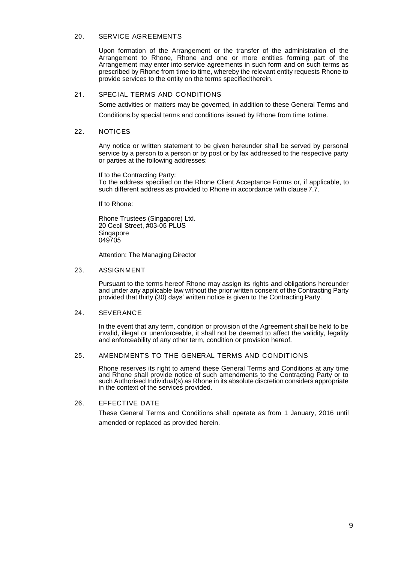#### 20. SERVICE AGREEMENTS

Upon formation of the Arrangement or the transfer of the administration of the Arrangement to Rhone, Rhone and one or more entities forming part of the Arrangement may enter into service agreements in such form and on such terms as prescribed by Rhone from time to time, whereby the relevant entity requests Rhone to provide services to the entity on the terms specified therein.

## 21. SPECIAL TERMS AND CONDITIONS

Some activities or matters may be governed, in addition to these General Terms and

Conditions,by special terms and conditions issued by Rhone from time to time.

#### 22. NOTICES

Any notice or written statement to be given hereunder shall be served by personal service by a person to a person or by post or by fax addressed to the respective party or parties at the following addresses:

If to the Contracting Party:

To the address specified on the Rhone Client Acceptance Forms or, if applicable, to such different address as provided to Rhone in accordance with clause 7.7.

If to Rhone:

Rhone Trustees (Singapore) Ltd. 20 Cecil Street, #03-05 PLUS Singapore 049705

Attention: The Managing Director

#### 23. ASSIGNMENT

Pursuant to the terms hereof Rhone may assign its rights and obligations hereunder and under any applicable law without the prior written consent of the Contracting Party provided that thirty (30) days' written notice is given to the Contracting Party.

#### 24. SEVERANCE

In the event that any term, condition or provision of the Agreement shall be held to be invalid, illegal or unenforceable, it shall not be deemed to affect the validity, legality and enforceability of any other term, condition or provision hereof.

#### 25. AMENDMENTS TO THE GENERAL TERMS AND CONDITIONS

Rhone reserves its right to amend these General Terms and Conditions at any time and Rhone shall provide notice of such amendments to the Contracting Party or to such Authorised Individual(s) as Rhone in its absolute discretion considers appropriate in the context of the services provided.

## 26. EFFECTIVE DATE

These General Terms and Conditions shall operate as from 1 January, 2016 until amended or replaced as provided herein.